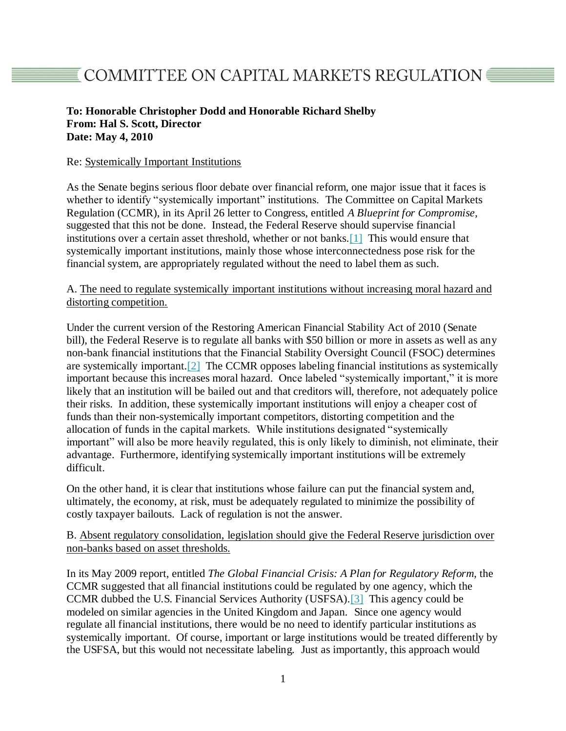## **To: Honorable Christopher Dodd and Honorable Richard Shelby From: Hal S. Scott, Director Date: May 4, 2010**

## Re: Systemically Important Institutions

As the Senate begins serious floor debate over financial reform, one major issue that it faces is whether to identify "systemically important" institutions. The Committee on Capital Markets Regulation (CCMR), in its April 26 letter to Congress, entitled *A Blueprint for Compromise*, suggested that this not be done. Instead, the Federal Reserve should supervise financial institutions over a certain asset threshold, whether or not banks[.\[1\]](http://capmktsreg.org/news/memo-to-senators-dodd-and-shelby-regarding-systemically-important-institutions/#_ftn1) This would ensure that systemically important institutions, mainly those whose interconnectedness pose risk for the financial system, are appropriately regulated without the need to label them as such.

## A. The need to regulate systemically important institutions without increasing moral hazard and distorting competition.

Under the current version of the Restoring American Financial Stability Act of 2010 (Senate bill), the Federal Reserve is to regulate all banks with \$50 billion or more in assets as well as any non-bank financial institutions that the Financial Stability Oversight Council (FSOC) determines are systemically important[.\[2\]](http://capmktsreg.org/news/memo-to-senators-dodd-and-shelby-regarding-systemically-important-institutions/#_ftn2) The CCMR opposes labeling financial institutions as systemically important because this increases moral hazard. Once labeled "systemically important," it is more likely that an institution will be bailed out and that creditors will, therefore, not adequately police their risks. In addition, these systemically important institutions will enjoy a cheaper cost of funds than their non-systemically important competitors, distorting competition and the allocation of funds in the capital markets. While institutions designated "systemically important" will also be more heavily regulated, this is only likely to diminish, not eliminate, their advantage. Furthermore, identifying systemically important institutions will be extremely difficult.

On the other hand, it is clear that institutions whose failure can put the financial system and, ultimately, the economy, at risk, must be adequately regulated to minimize the possibility of costly taxpayer bailouts. Lack of regulation is not the answer.

## B. Absent regulatory consolidation, legislation should give the Federal Reserve jurisdiction over non-banks based on asset thresholds.

In its May 2009 report, entitled *The Global Financial Crisis: A Plan for Regulatory Reform*, the CCMR suggested that all financial institutions could be regulated by one agency, which the CCMR dubbed the U.S. Financial Services Authority (USFSA)[.\[3\]](http://capmktsreg.org/news/memo-to-senators-dodd-and-shelby-regarding-systemically-important-institutions/#_ftn3) This agency could be modeled on similar agencies in the United Kingdom and Japan. Since one agency would regulate all financial institutions, there would be no need to identify particular institutions as systemically important. Of course, important or large institutions would be treated differently by the USFSA, but this would not necessitate labeling. Just as importantly, this approach would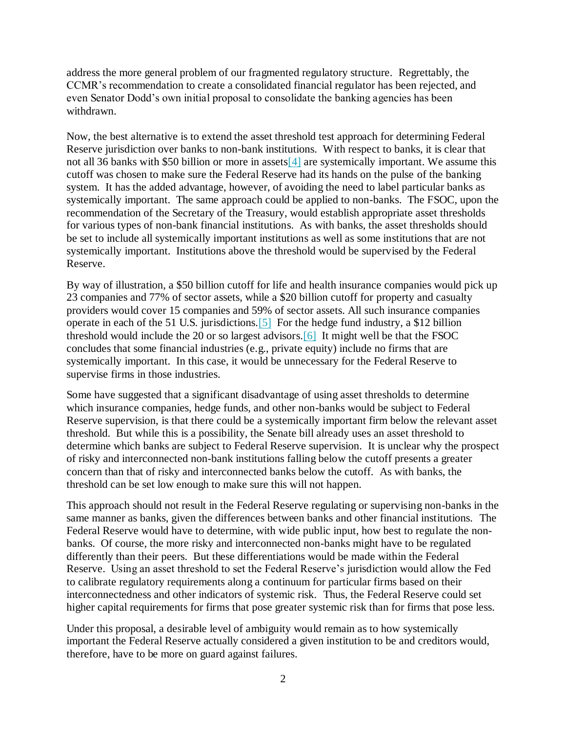address the more general problem of our fragmented regulatory structure. Regrettably, the CCMR's recommendation to create a consolidated financial regulator has been rejected, and even Senator Dodd's own initial proposal to consolidate the banking agencies has been withdrawn.

Now, the best alternative is to extend the asset threshold test approach for determining Federal Reserve jurisdiction over banks to non-bank institutions. With respect to banks, it is clear that not all 36 banks with \$50 billion or more in asset[s\[4\]](http://capmktsreg.org/news/memo-to-senators-dodd-and-shelby-regarding-systemically-important-institutions/#_ftn4) are systemically important. We assume this cutoff was chosen to make sure the Federal Reserve had its hands on the pulse of the banking system. It has the added advantage, however, of avoiding the need to label particular banks as systemically important. The same approach could be applied to non-banks. The FSOC, upon the recommendation of the Secretary of the Treasury, would establish appropriate asset thresholds for various types of non-bank financial institutions. As with banks, the asset thresholds should be set to include all systemically important institutions as well as some institutions that are not systemically important. Institutions above the threshold would be supervised by the Federal Reserve.

By way of illustration, a \$50 billion cutoff for life and health insurance companies would pick up 23 companies and 77% of sector assets, while a \$20 billion cutoff for property and casualty providers would cover 15 companies and 59% of sector assets. All such insurance companies operate in each of the 51 U.S. jurisdictions[.\[5\]](http://capmktsreg.org/news/memo-to-senators-dodd-and-shelby-regarding-systemically-important-institutions/#_ftn5) For the hedge fund industry, a \$12 billion threshold would include the 20 or so largest advisors[.\[6\]](http://capmktsreg.org/news/memo-to-senators-dodd-and-shelby-regarding-systemically-important-institutions/#_ftn6) It might well be that the FSOC concludes that some financial industries (e.g., private equity) include no firms that are systemically important. In this case, it would be unnecessary for the Federal Reserve to supervise firms in those industries.

Some have suggested that a significant disadvantage of using asset thresholds to determine which insurance companies, hedge funds, and other non-banks would be subject to Federal Reserve supervision, is that there could be a systemically important firm below the relevant asset threshold. But while this is a possibility, the Senate bill already uses an asset threshold to determine which banks are subject to Federal Reserve supervision. It is unclear why the prospect of risky and interconnected non-bank institutions falling below the cutoff presents a greater concern than that of risky and interconnected banks below the cutoff. As with banks, the threshold can be set low enough to make sure this will not happen.

This approach should not result in the Federal Reserve regulating or supervising non-banks in the same manner as banks, given the differences between banks and other financial institutions. The Federal Reserve would have to determine, with wide public input, how best to regulate the nonbanks. Of course, the more risky and interconnected non-banks might have to be regulated differently than their peers. But these differentiations would be made within the Federal Reserve. Using an asset threshold to set the Federal Reserve's jurisdiction would allow the Fed to calibrate regulatory requirements along a continuum for particular firms based on their interconnectedness and other indicators of systemic risk. Thus, the Federal Reserve could set higher capital requirements for firms that pose greater systemic risk than for firms that pose less.

Under this proposal, a desirable level of ambiguity would remain as to how systemically important the Federal Reserve actually considered a given institution to be and creditors would, therefore, have to be more on guard against failures.